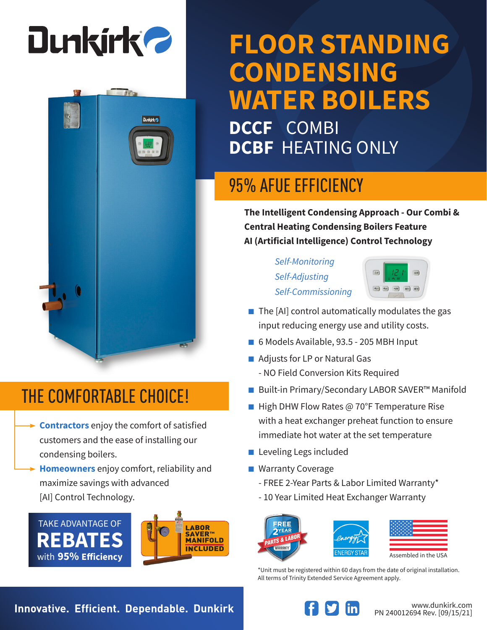

**Dunkirk** 

## **FLOOR STANDING CONDENSING WATER BOILERS DCCF** COMBI

**DCBF** HEATING ONLY

### 95% AFUE EFFICIENCY

**The Intelligent Condensing Approach - Our Combi & Central Heating Condensing Boilers Feature AI (Artificial Intelligence) Control Technology**

> *Self-Monitoring Self-Adjusting Self-Commissioning*



- $\blacksquare$  The [AI] control automatically modulates the gas input reducing energy use and utility costs.
- 6 Models Available, 93.5 205 MBH Input
- Adjusts for LP or Natural Gas
	- NO Field Conversion Kits Required
- Built-in Primary/Secondary LABOR SAVER<sup>™</sup> Manifold
- High DHW Flow Rates @ 70°F Temperature Rise with a heat exchanger preheat function to ensure immediate hot water at the set temperature
- Leveling Legs included
- Warranty Coverage
	- FREE 2-Year Parts & Labor Limited Warranty\*
	- 10 Year Limited Heat Exchanger Warranty

FRFF



| Assembled in the USA |  |
|----------------------|--|

\*Unit must be registered within 60 days from the date of original installation. All terms of Trinity Extended Service Agreement apply.

### THE COMFORTABLE CHOICE!

- **Contractors** enjoy the comfort of satisfied customers and the ease of installing our condensing boilers.
- **Homeowners** enjoy comfort, reliability and maximize savings with advanced [AI] Control Technology.





**Innovative. Efficient. Dependable. Dunkirk Wave and South and Medicinal Provident Computer Reserved Union Control of the Medicine of The Medicine of The Medicine of The Medicine of The Medicine of The Medicine of The Medi**